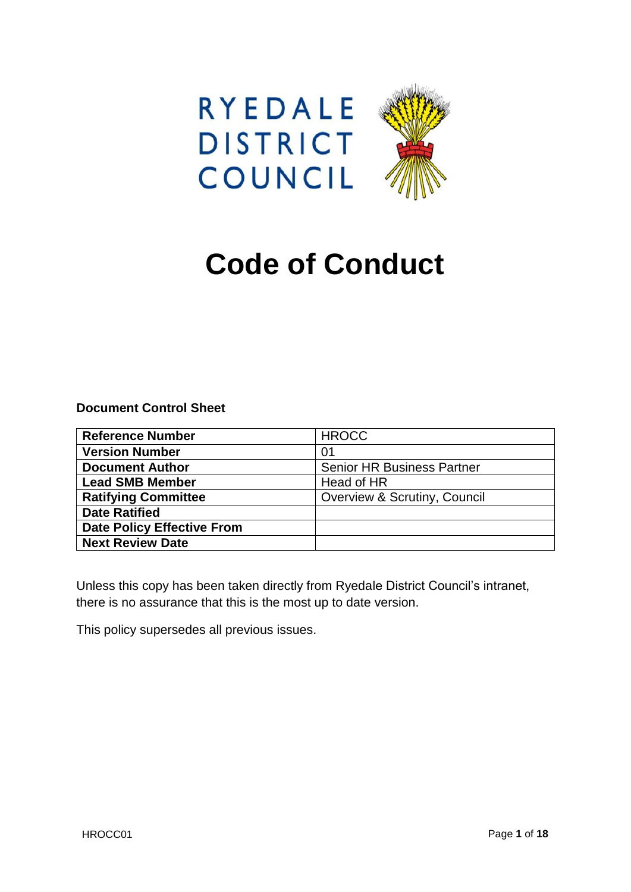



## **Document Control Sheet**

| <b>Reference Number</b>           | <b>HROCC</b>                      |
|-----------------------------------|-----------------------------------|
| <b>Version Number</b>             | 01                                |
| <b>Document Author</b>            | <b>Senior HR Business Partner</b> |
| <b>Lead SMB Member</b>            | Head of HR                        |
| <b>Ratifying Committee</b>        | Overview & Scrutiny, Council      |
| <b>Date Ratified</b>              |                                   |
| <b>Date Policy Effective From</b> |                                   |
| <b>Next Review Date</b>           |                                   |

Unless this copy has been taken directly from Ryedale District Council's intranet, there is no assurance that this is the most up to date version.

This policy supersedes all previous issues.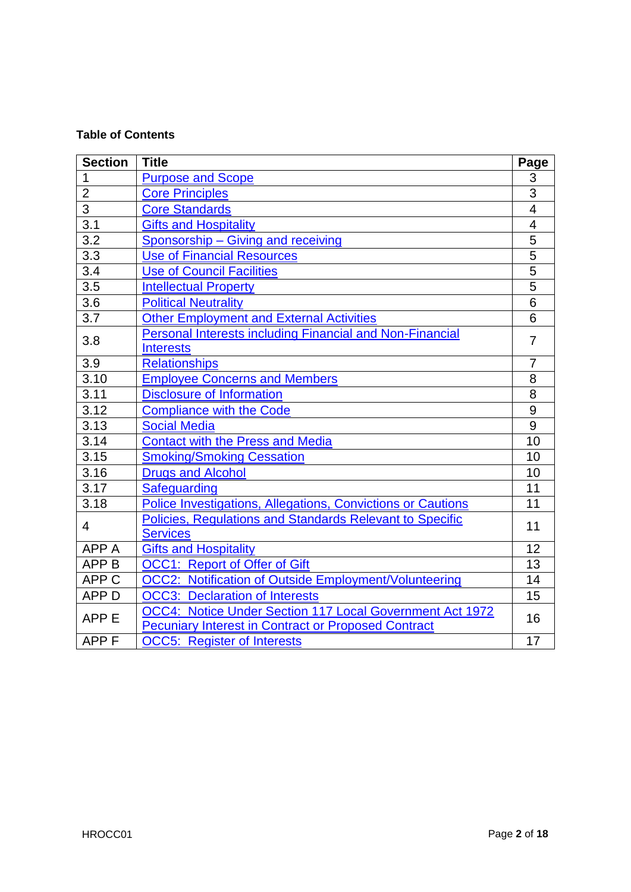## **Table of Contents**

| <b>Section</b>   | <b>Title</b>                                                    | Page           |
|------------------|-----------------------------------------------------------------|----------------|
| 1                | <b>Purpose and Scope</b>                                        | 3              |
| $\overline{2}$   | <b>Core Principles</b>                                          | $\overline{3}$ |
| $\overline{3}$   | <b>Core Standards</b>                                           | $\overline{4}$ |
| 3.1              | <b>Gifts and Hospitality</b>                                    | 4              |
| 3.2              | Sponsorship – Giving and receiving                              | $\overline{5}$ |
| 3.3              | <b>Use of Financial Resources</b>                               | $\overline{5}$ |
| 3.4              | <b>Use of Council Facilities</b>                                | 5              |
| 3.5              | <b>Intellectual Property</b>                                    | $\overline{5}$ |
| 3.6              | <b>Political Neutrality</b>                                     | 6              |
| 3.7              | <b>Other Employment and External Activities</b>                 | 6              |
| 3.8              | <b>Personal Interests including Financial and Non-Financial</b> | $\overline{7}$ |
|                  | <b>Interests</b>                                                |                |
| 3.9              | Relationships                                                   | $\overline{7}$ |
| 3.10             | <b>Employee Concerns and Members</b>                            | 8              |
| 3.11             | <b>Disclosure of Information</b>                                | 8              |
| 3.12             | <b>Compliance with the Code</b>                                 | 9              |
| 3.13             | <b>Social Media</b>                                             | 9              |
| 3.14             | <b>Contact with the Press and Media</b>                         | 10             |
| 3.15             | <b>Smoking/Smoking Cessation</b>                                | 10             |
| 3.16             | <b>Drugs and Alcohol</b>                                        | 10             |
| 3.17             | Safeguarding                                                    | 11             |
| 3.18             | Police Investigations, Allegations, Convictions or Cautions     | 11             |
| $\overline{4}$   | Policies, Regulations and Standards Relevant to Specific        | 11             |
|                  | <b>Services</b>                                                 |                |
| APP A            | <b>Gifts and Hospitality</b>                                    | 12             |
| <b>APP B</b>     | <b>OCC1: Report of Offer of Gift</b>                            | 13             |
| APP <sub>C</sub> | <b>OCC2: Notification of Outside Employment/Volunteering</b>    | 14             |
| <b>APP D</b>     | <b>OCC3: Declaration of Interests</b>                           | 15             |
| APP <sub>E</sub> | OCC4: Notice Under Section 117 Local Government Act 1972        | 16             |
|                  | <b>Pecuniary Interest in Contract or Proposed Contract</b>      |                |
| APP <sub>F</sub> | <b>OCC5: Register of Interests</b>                              | 17             |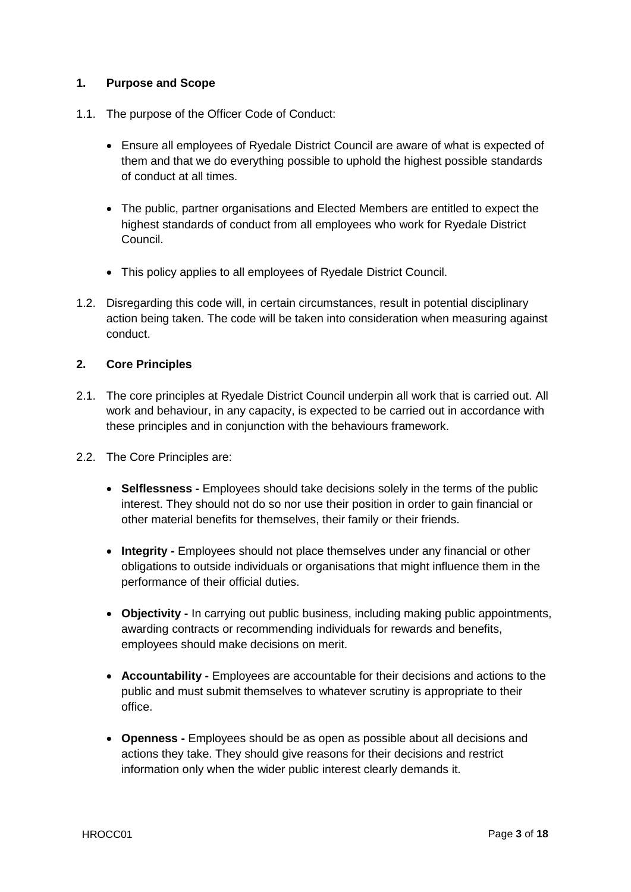## **1. Purpose and Scope**

- 1.1. The purpose of the Officer Code of Conduct:
	- Ensure all employees of Ryedale District Council are aware of what is expected of them and that we do everything possible to uphold the highest possible standards of conduct at all times.
	- The public, partner organisations and Elected Members are entitled to expect the highest standards of conduct from all employees who work for Ryedale District Council.
	- This policy applies to all employees of Ryedale District Council.
- 1.2. Disregarding this code will, in certain circumstances, result in potential disciplinary action being taken. The code will be taken into consideration when measuring against conduct.

## **2. Core Principles**

- 2.1. The core principles at Ryedale District Council underpin all work that is carried out. All work and behaviour, in any capacity, is expected to be carried out in accordance with these principles and in conjunction with the behaviours framework.
- 2.2. The Core Principles are:
	- **Selflessness -** Employees should take decisions solely in the terms of the public interest. They should not do so nor use their position in order to gain financial or other material benefits for themselves, their family or their friends.
	- **Integrity -** Employees should not place themselves under any financial or other obligations to outside individuals or organisations that might influence them in the performance of their official duties.
	- **Objectivity -** In carrying out public business, including making public appointments, awarding contracts or recommending individuals for rewards and benefits, employees should make decisions on merit.
	- **Accountability -** Employees are accountable for their decisions and actions to the public and must submit themselves to whatever scrutiny is appropriate to their office.
	- **Openness -** Employees should be as open as possible about all decisions and actions they take. They should give reasons for their decisions and restrict information only when the wider public interest clearly demands it.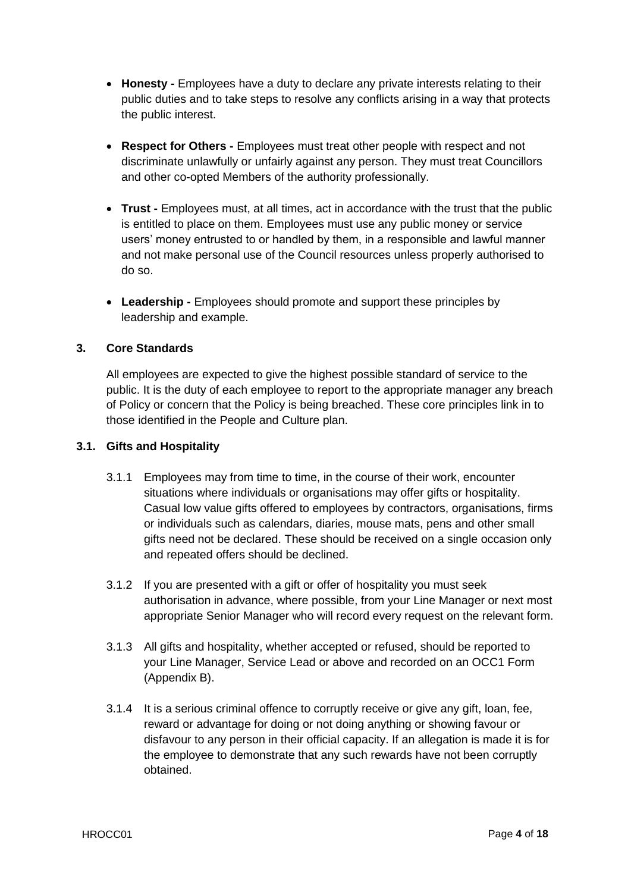- **Honesty -** Employees have a duty to declare any private interests relating to their public duties and to take steps to resolve any conflicts arising in a way that protects the public interest.
- **Respect for Others -** Employees must treat other people with respect and not discriminate unlawfully or unfairly against any person. They must treat Councillors and other co-opted Members of the authority professionally.
- **Trust -** Employees must, at all times, act in accordance with the trust that the public is entitled to place on them. Employees must use any public money or service users' money entrusted to or handled by them, in a responsible and lawful manner and not make personal use of the Council resources unless properly authorised to do so.
- **Leadership -** Employees should promote and support these principles by leadership and example.

## **3. Core Standards**

All employees are expected to give the highest possible standard of service to the public. It is the duty of each employee to report to the appropriate manager any breach of Policy or concern that the Policy is being breached. These core principles link in to those identified in the People and Culture plan.

## **3.1. Gifts and Hospitality**

- 3.1.1 Employees may from time to time, in the course of their work, encounter situations where individuals or organisations may offer gifts or hospitality. Casual low value gifts offered to employees by contractors, organisations, firms or individuals such as calendars, diaries, mouse mats, pens and other small gifts need not be declared. These should be received on a single occasion only and repeated offers should be declined.
- 3.1.2 If you are presented with a gift or offer of hospitality you must seek authorisation in advance, where possible, from your Line Manager or next most appropriate Senior Manager who will record every request on the relevant form.
- 3.1.3 All gifts and hospitality, whether accepted or refused, should be reported to your Line Manager, Service Lead or above and recorded on an OCC1 Form (Appendix B).
- 3.1.4 It is a serious criminal offence to corruptly receive or give any gift, loan, fee, reward or advantage for doing or not doing anything or showing favour or disfavour to any person in their official capacity. If an allegation is made it is for the employee to demonstrate that any such rewards have not been corruptly obtained.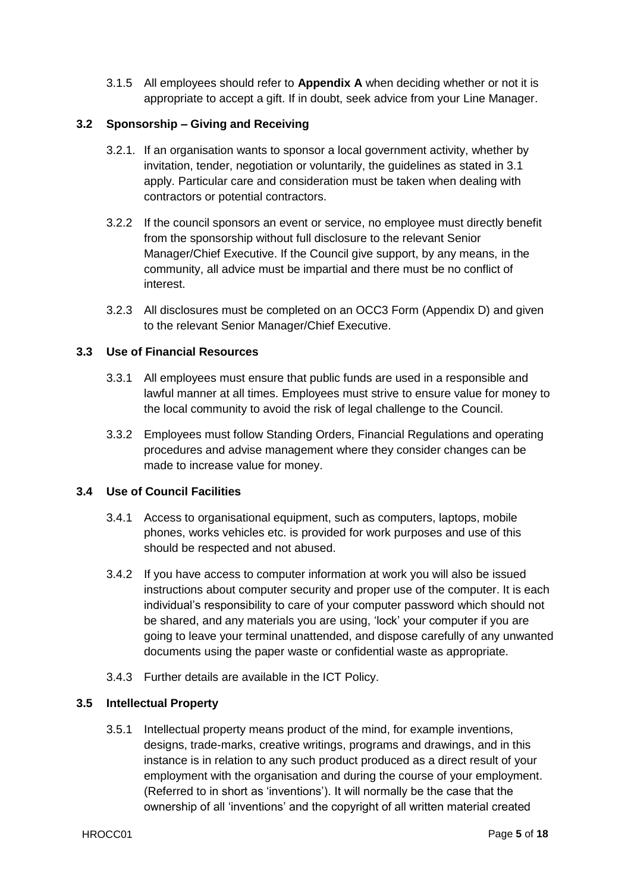3.1.5 All employees should refer to **Appendix A** when deciding whether or not it is appropriate to accept a gift. If in doubt, seek advice from your Line Manager.

## **3.2 Sponsorship – Giving and Receiving**

- 3.2.1. If an organisation wants to sponsor a local government activity, whether by invitation, tender, negotiation or voluntarily, the guidelines as stated in 3.1 apply. Particular care and consideration must be taken when dealing with contractors or potential contractors.
- 3.2.2 If the council sponsors an event or service, no employee must directly benefit from the sponsorship without full disclosure to the relevant Senior Manager/Chief Executive. If the Council give support, by any means, in the community, all advice must be impartial and there must be no conflict of interest.
- 3.2.3 All disclosures must be completed on an OCC3 Form (Appendix D) and given to the relevant Senior Manager/Chief Executive.

## **3.3 Use of Financial Resources**

- 3.3.1 All employees must ensure that public funds are used in a responsible and lawful manner at all times. Employees must strive to ensure value for money to the local community to avoid the risk of legal challenge to the Council.
- 3.3.2 Employees must follow Standing Orders, Financial Regulations and operating procedures and advise management where they consider changes can be made to increase value for money.

## **3.4 Use of Council Facilities**

- 3.4.1 Access to organisational equipment, such as computers, laptops, mobile phones, works vehicles etc. is provided for work purposes and use of this should be respected and not abused.
- 3.4.2 If you have access to computer information at work you will also be issued instructions about computer security and proper use of the computer. It is each individual's responsibility to care of your computer password which should not be shared, and any materials you are using, 'lock' your computer if you are going to leave your terminal unattended, and dispose carefully of any unwanted documents using the paper waste or confidential waste as appropriate.
- 3.4.3 Further details are available in the ICT Policy.

## **3.5 Intellectual Property**

3.5.1 Intellectual property means product of the mind, for example inventions, designs, trade-marks, creative writings, programs and drawings, and in this instance is in relation to any such product produced as a direct result of your employment with the organisation and during the course of your employment. (Referred to in short as 'inventions'). It will normally be the case that the ownership of all 'inventions' and the copyright of all written material created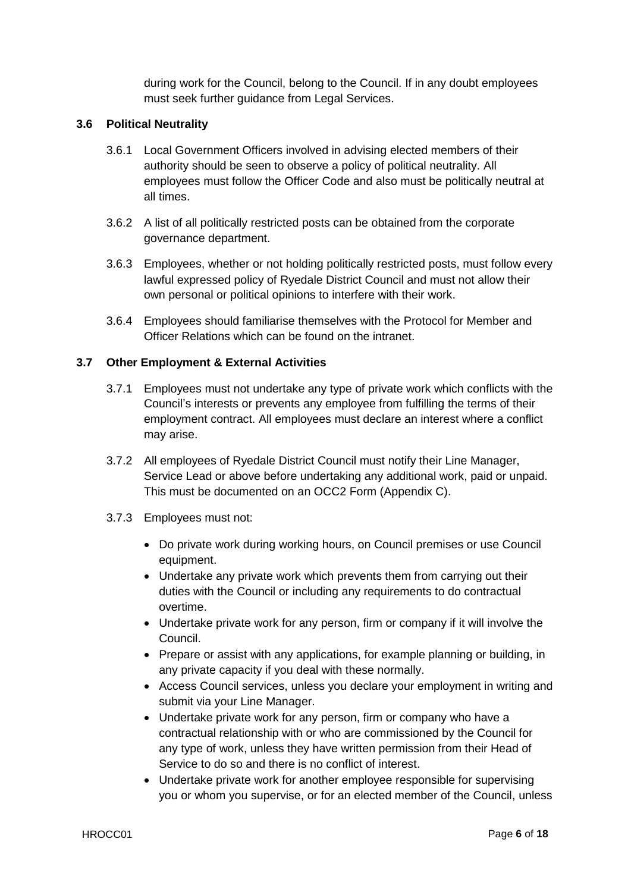during work for the Council, belong to the Council. If in any doubt employees must seek further guidance from Legal Services.

### **3.6 Political Neutrality**

- 3.6.1 Local Government Officers involved in advising elected members of their authority should be seen to observe a policy of political neutrality. All employees must follow the Officer Code and also must be politically neutral at all times.
- 3.6.2 A list of all politically restricted posts can be obtained from the corporate governance department.
- 3.6.3 Employees, whether or not holding politically restricted posts, must follow every lawful expressed policy of Ryedale District Council and must not allow their own personal or political opinions to interfere with their work.
- 3.6.4 Employees should familiarise themselves with the Protocol for Member and Officer Relations which can be found on the intranet.

#### **3.7 Other Employment & External Activities**

- 3.7.1 Employees must not undertake any type of private work which conflicts with the Council's interests or prevents any employee from fulfilling the terms of their employment contract. All employees must declare an interest where a conflict may arise.
- 3.7.2 All employees of Ryedale District Council must notify their Line Manager, Service Lead or above before undertaking any additional work, paid or unpaid. This must be documented on an OCC2 Form (Appendix C).
- 3.7.3 Employees must not:
	- Do private work during working hours, on Council premises or use Council equipment.
	- Undertake any private work which prevents them from carrying out their duties with the Council or including any requirements to do contractual overtime.
	- Undertake private work for any person, firm or company if it will involve the Council.
	- Prepare or assist with any applications, for example planning or building, in any private capacity if you deal with these normally.
	- Access Council services, unless you declare your employment in writing and submit via your Line Manager.
	- Undertake private work for any person, firm or company who have a contractual relationship with or who are commissioned by the Council for any type of work, unless they have written permission from their Head of Service to do so and there is no conflict of interest.
	- Undertake private work for another employee responsible for supervising you or whom you supervise, or for an elected member of the Council, unless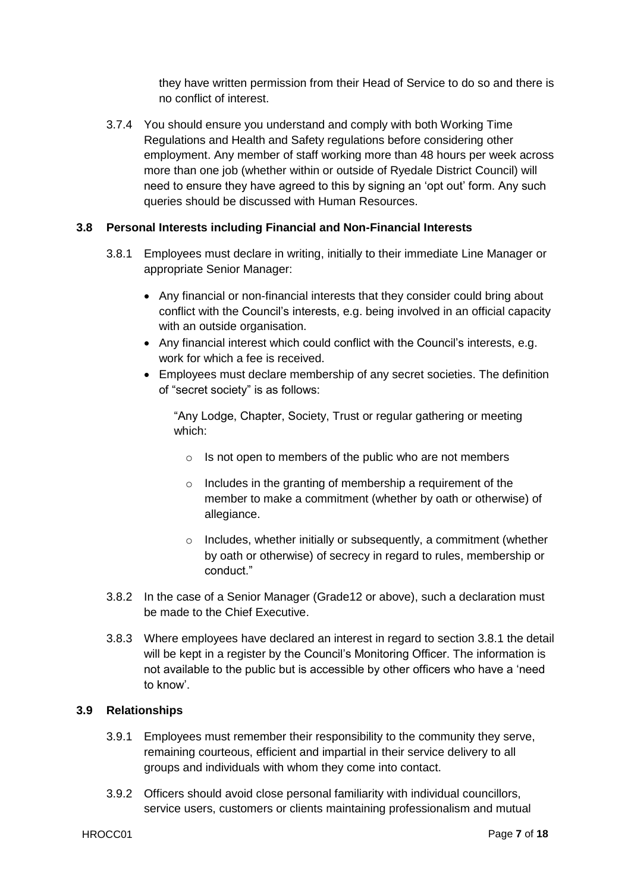they have written permission from their Head of Service to do so and there is no conflict of interest.

3.7.4 You should ensure you understand and comply with both Working Time Regulations and Health and Safety regulations before considering other employment. Any member of staff working more than 48 hours per week across more than one job (whether within or outside of Ryedale District Council) will need to ensure they have agreed to this by signing an 'opt out' form. Any such queries should be discussed with Human Resources.

## **3.8 Personal Interests including Financial and Non-Financial Interests**

- 3.8.1 Employees must declare in writing, initially to their immediate Line Manager or appropriate Senior Manager:
	- Any financial or non-financial interests that they consider could bring about conflict with the Council's interests, e.g. being involved in an official capacity with an outside organisation.
	- Any financial interest which could conflict with the Council's interests, e.g. work for which a fee is received.
	- Employees must declare membership of any secret societies. The definition of "secret society" is as follows:

"Any Lodge, Chapter, Society, Trust or regular gathering or meeting which:

- o Is not open to members of the public who are not members
- $\circ$  Includes in the granting of membership a requirement of the member to make a commitment (whether by oath or otherwise) of allegiance.
- o Includes, whether initially or subsequently, a commitment (whether by oath or otherwise) of secrecy in regard to rules, membership or conduct."
- 3.8.2 In the case of a Senior Manager (Grade12 or above), such a declaration must be made to the Chief Executive.
- 3.8.3 Where employees have declared an interest in regard to section 3.8.1 the detail will be kept in a register by the Council's Monitoring Officer. The information is not available to the public but is accessible by other officers who have a 'need to know'.

#### **3.9 Relationships**

- 3.9.1 Employees must remember their responsibility to the community they serve, remaining courteous, efficient and impartial in their service delivery to all groups and individuals with whom they come into contact.
- 3.9.2 Officers should avoid close personal familiarity with individual councillors, service users, customers or clients maintaining professionalism and mutual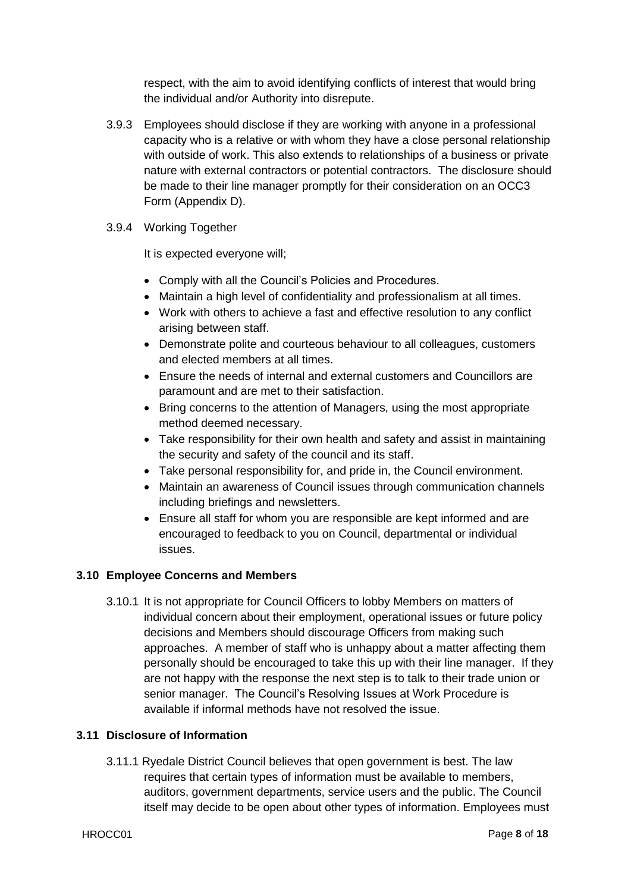respect, with the aim to avoid identifying conflicts of interest that would bring the individual and/or Authority into disrepute.

- 3.9.3 Employees should disclose if they are working with anyone in a professional capacity who is a relative or with whom they have a close personal relationship with outside of work. This also extends to relationships of a business or private nature with external contractors or potential contractors. The disclosure should be made to their line manager promptly for their consideration on an OCC3 Form (Appendix D).
- 3.9.4 Working Together

It is expected everyone will;

- Comply with all the Council's Policies and Procedures.
- Maintain a high level of confidentiality and professionalism at all times.
- Work with others to achieve a fast and effective resolution to any conflict arising between staff.
- Demonstrate polite and courteous behaviour to all colleagues, customers and elected members at all times.
- Ensure the needs of internal and external customers and Councillors are paramount and are met to their satisfaction.
- Bring concerns to the attention of Managers, using the most appropriate method deemed necessary.
- Take responsibility for their own health and safety and assist in maintaining the security and safety of the council and its staff.
- Take personal responsibility for, and pride in, the Council environment.
- Maintain an awareness of Council issues through communication channels including briefings and newsletters.
- Ensure all staff for whom you are responsible are kept informed and are encouraged to feedback to you on Council, departmental or individual issues.

## **3.10 Employee Concerns and Members**

3.10.1 It is not appropriate for Council Officers to lobby Members on matters of individual concern about their employment, operational issues or future policy decisions and Members should discourage Officers from making such approaches. A member of staff who is unhappy about a matter affecting them personally should be encouraged to take this up with their line manager. If they are not happy with the response the next step is to talk to their trade union or senior manager. The Council's Resolving Issues at Work Procedure is available if informal methods have not resolved the issue.

## **3.11 Disclosure of Information**

3.11.1 Ryedale District Council believes that open government is best. The law requires that certain types of information must be available to members, auditors, government departments, service users and the public. The Council itself may decide to be open about other types of information. Employees must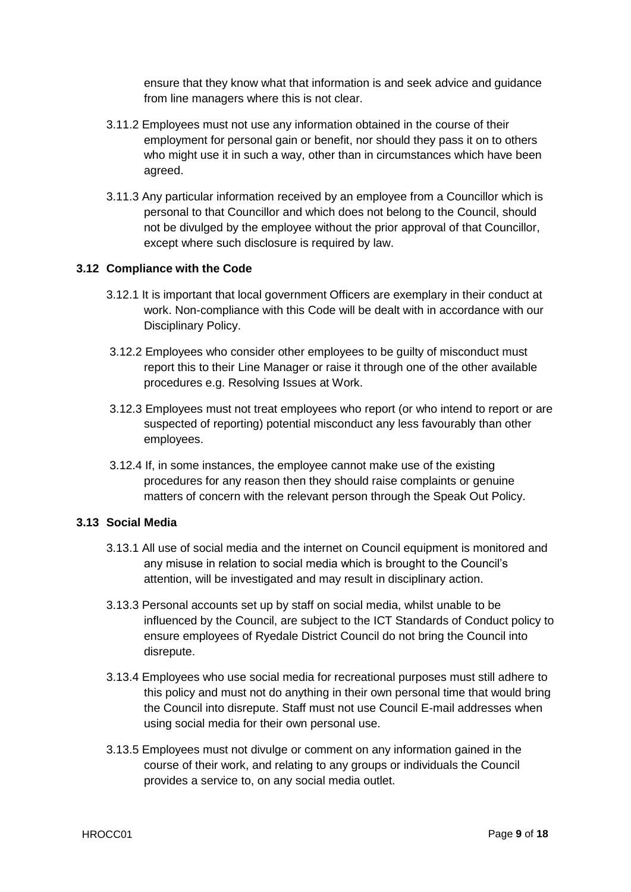ensure that they know what that information is and seek advice and guidance from line managers where this is not clear.

- 3.11.2 Employees must not use any information obtained in the course of their employment for personal gain or benefit, nor should they pass it on to others who might use it in such a way, other than in circumstances which have been agreed.
- 3.11.3 Any particular information received by an employee from a Councillor which is personal to that Councillor and which does not belong to the Council, should not be divulged by the employee without the prior approval of that Councillor, except where such disclosure is required by law.

#### **3.12 Compliance with the Code**

- 3.12.1 It is important that local government Officers are exemplary in their conduct at work. Non-compliance with this Code will be dealt with in accordance with our Disciplinary Policy.
- 3.12.2 Employees who consider other employees to be guilty of misconduct must report this to their Line Manager or raise it through one of the other available procedures e.g. Resolving Issues at Work.
- 3.12.3 Employees must not treat employees who report (or who intend to report or are suspected of reporting) potential misconduct any less favourably than other employees.
- 3.12.4 If, in some instances, the employee cannot make use of the existing procedures for any reason then they should raise complaints or genuine matters of concern with the relevant person through the Speak Out Policy.

#### **3.13 Social Media**

- 3.13.1 All use of social media and the internet on Council equipment is monitored and any misuse in relation to social media which is brought to the Council's attention, will be investigated and may result in disciplinary action.
- 3.13.3 Personal accounts set up by staff on social media, whilst unable to be influenced by the Council, are subject to the ICT Standards of Conduct policy to ensure employees of Ryedale District Council do not bring the Council into disrepute.
- 3.13.4 Employees who use social media for recreational purposes must still adhere to this policy and must not do anything in their own personal time that would bring the Council into disrepute. Staff must not use Council E-mail addresses when using social media for their own personal use.
- 3.13.5 Employees must not divulge or comment on any information gained in the course of their work, and relating to any groups or individuals the Council provides a service to, on any social media outlet.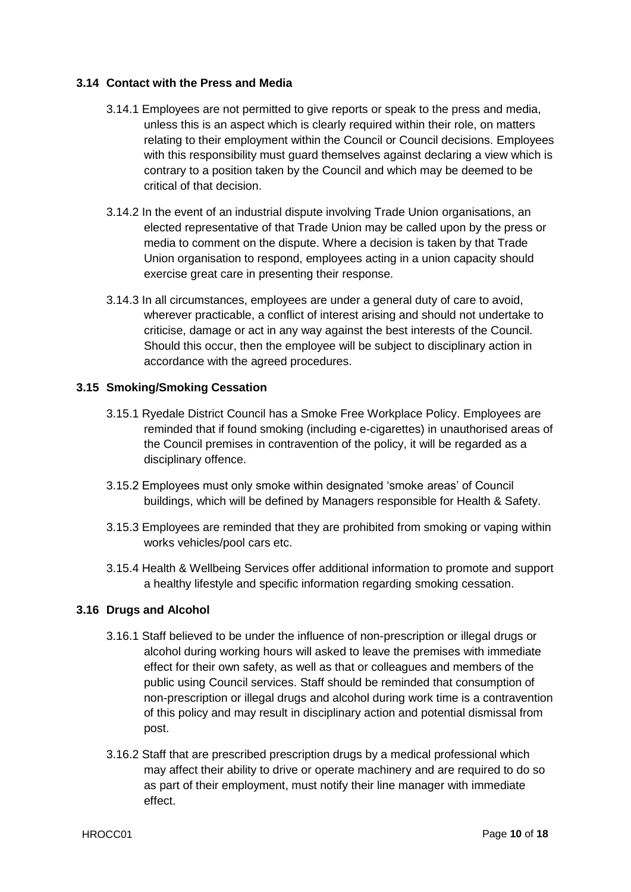## **3.14 Contact with the Press and Media**

- 3.14.1 Employees are not permitted to give reports or speak to the press and media, unless this is an aspect which is clearly required within their role, on matters relating to their employment within the Council or Council decisions. Employees with this responsibility must guard themselves against declaring a view which is contrary to a position taken by the Council and which may be deemed to be critical of that decision.
- 3.14.2 In the event of an industrial dispute involving Trade Union organisations, an elected representative of that Trade Union may be called upon by the press or media to comment on the dispute. Where a decision is taken by that Trade Union organisation to respond, employees acting in a union capacity should exercise great care in presenting their response.
- 3.14.3 In all circumstances, employees are under a general duty of care to avoid, wherever practicable, a conflict of interest arising and should not undertake to criticise, damage or act in any way against the best interests of the Council. Should this occur, then the employee will be subject to disciplinary action in accordance with the agreed procedures.

## **3.15 Smoking/Smoking Cessation**

- 3.15.1 Ryedale District Council has a Smoke Free Workplace Policy. Employees are reminded that if found smoking (including e-cigarettes) in unauthorised areas of the Council premises in contravention of the policy, it will be regarded as a disciplinary offence.
- 3.15.2 Employees must only smoke within designated 'smoke areas' of Council buildings, which will be defined by Managers responsible for Health & Safety.
- 3.15.3 Employees are reminded that they are prohibited from smoking or vaping within works vehicles/pool cars etc.
- 3.15.4 Health & Wellbeing Services offer additional information to promote and support a healthy lifestyle and specific information regarding smoking cessation.

## **3.16 Drugs and Alcohol**

- 3.16.1 Staff believed to be under the influence of non-prescription or illegal drugs or alcohol during working hours will asked to leave the premises with immediate effect for their own safety, as well as that or colleagues and members of the public using Council services. Staff should be reminded that consumption of non-prescription or illegal drugs and alcohol during work time is a contravention of this policy and may result in disciplinary action and potential dismissal from post.
- 3.16.2 Staff that are prescribed prescription drugs by a medical professional which may affect their ability to drive or operate machinery and are required to do so as part of their employment, must notify their line manager with immediate effect.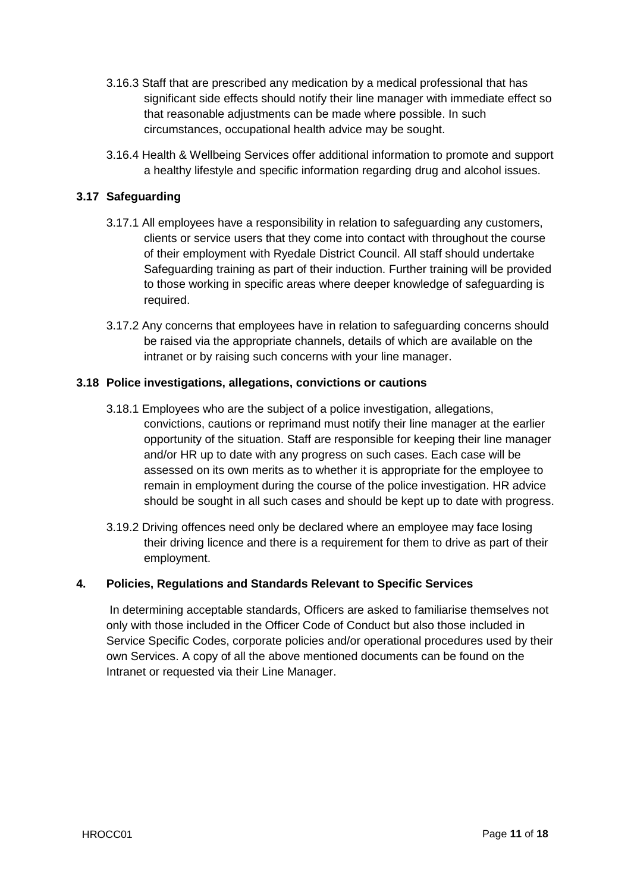- 3.16.3 Staff that are prescribed any medication by a medical professional that has significant side effects should notify their line manager with immediate effect so that reasonable adjustments can be made where possible. In such circumstances, occupational health advice may be sought.
- 3.16.4 Health & Wellbeing Services offer additional information to promote and support a healthy lifestyle and specific information regarding drug and alcohol issues.

## **3.17 Safeguarding**

- 3.17.1 All employees have a responsibility in relation to safeguarding any customers, clients or service users that they come into contact with throughout the course of their employment with Ryedale District Council. All staff should undertake Safeguarding training as part of their induction. Further training will be provided to those working in specific areas where deeper knowledge of safeguarding is required.
- 3.17.2 Any concerns that employees have in relation to safeguarding concerns should be raised via the appropriate channels, details of which are available on the intranet or by raising such concerns with your line manager.

## **3.18 Police investigations, allegations, convictions or cautions**

- 3.18.1 Employees who are the subject of a police investigation, allegations, convictions, cautions or reprimand must notify their line manager at the earlier opportunity of the situation. Staff are responsible for keeping their line manager and/or HR up to date with any progress on such cases. Each case will be assessed on its own merits as to whether it is appropriate for the employee to remain in employment during the course of the police investigation. HR advice should be sought in all such cases and should be kept up to date with progress.
- 3.19.2 Driving offences need only be declared where an employee may face losing their driving licence and there is a requirement for them to drive as part of their employment.

## **4. Policies, Regulations and Standards Relevant to Specific Services**

In determining acceptable standards, Officers are asked to familiarise themselves not only with those included in the Officer Code of Conduct but also those included in Service Specific Codes, corporate policies and/or operational procedures used by their own Services. A copy of all the above mentioned documents can be found on the Intranet or requested via their Line Manager.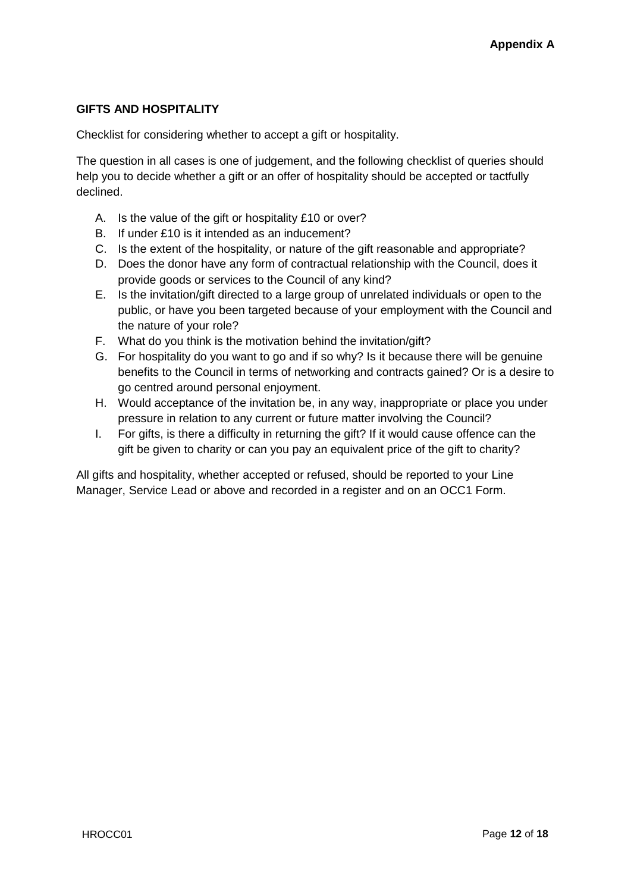## **GIFTS AND HOSPITALITY**

Checklist for considering whether to accept a gift or hospitality.

The question in all cases is one of judgement, and the following checklist of queries should help you to decide whether a gift or an offer of hospitality should be accepted or tactfully declined.

- A. Is the value of the gift or hospitality £10 or over?
- B. If under £10 is it intended as an inducement?
- C. Is the extent of the hospitality, or nature of the gift reasonable and appropriate?
- D. Does the donor have any form of contractual relationship with the Council, does it provide goods or services to the Council of any kind?
- E. Is the invitation/gift directed to a large group of unrelated individuals or open to the public, or have you been targeted because of your employment with the Council and the nature of your role?
- F. What do you think is the motivation behind the invitation/gift?
- G. For hospitality do you want to go and if so why? Is it because there will be genuine benefits to the Council in terms of networking and contracts gained? Or is a desire to go centred around personal enjoyment.
- H. Would acceptance of the invitation be, in any way, inappropriate or place you under pressure in relation to any current or future matter involving the Council?
- I. For gifts, is there a difficulty in returning the gift? If it would cause offence can the gift be given to charity or can you pay an equivalent price of the gift to charity?

All gifts and hospitality, whether accepted or refused, should be reported to your Line Manager, Service Lead or above and recorded in a register and on an OCC1 Form.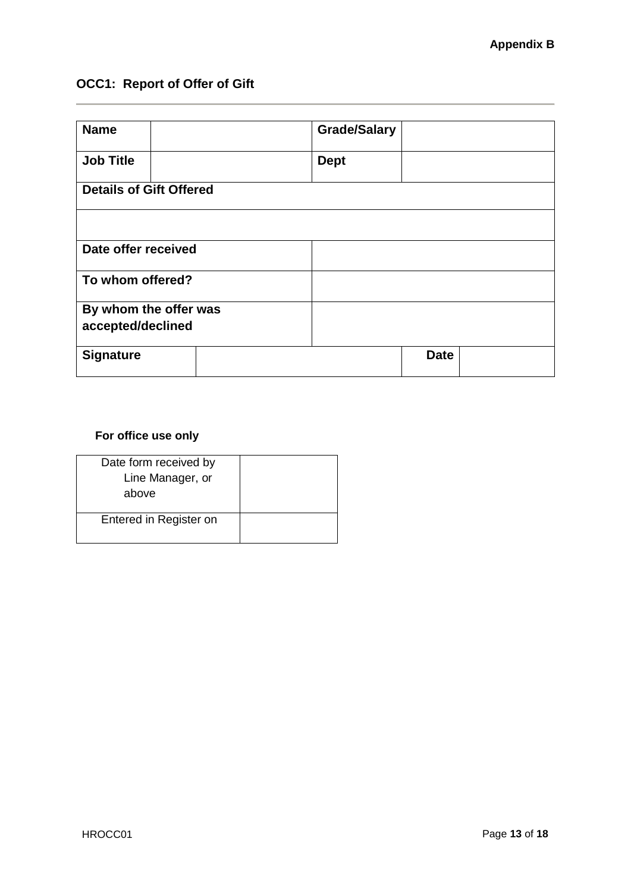# **OCC1: Report of Offer of Gift**

| <b>Name</b>                                | <b>Grade/Salary</b> |             |  |
|--------------------------------------------|---------------------|-------------|--|
| <b>Job Title</b>                           | <b>Dept</b>         |             |  |
| <b>Details of Gift Offered</b>             |                     |             |  |
|                                            |                     |             |  |
| Date offer received                        |                     |             |  |
| To whom offered?                           |                     |             |  |
| By whom the offer was<br>accepted/declined |                     |             |  |
| <b>Signature</b>                           |                     | <b>Date</b> |  |

## **For office use only**

| Date form received by  |  |
|------------------------|--|
| Line Manager, or       |  |
| above                  |  |
|                        |  |
| Entered in Register on |  |
|                        |  |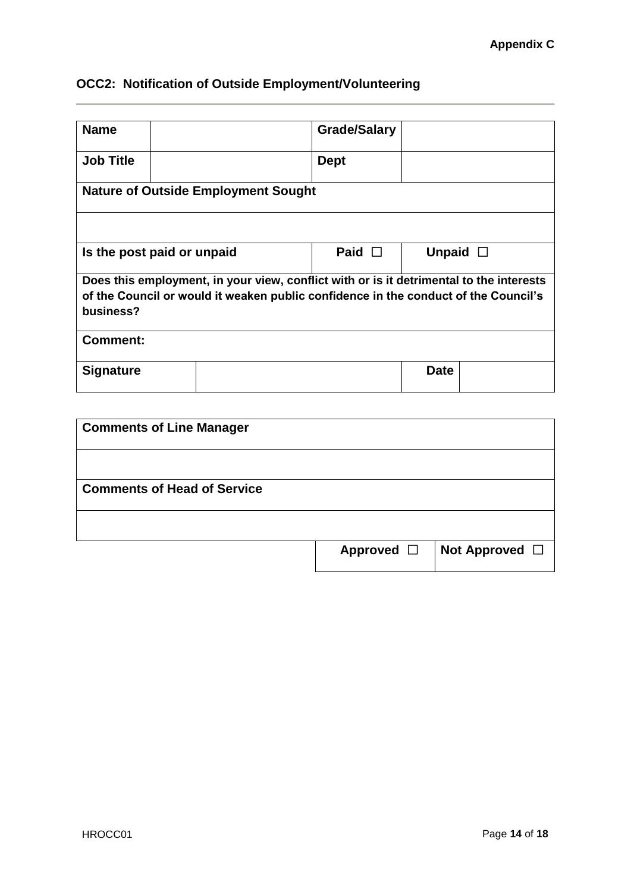# **OCC2: Notification of Outside Employment/Volunteering**

| <b>Name</b>                                                                                                                                                                                 |                                                            | <b>Grade/Salary</b> |             |  |
|---------------------------------------------------------------------------------------------------------------------------------------------------------------------------------------------|------------------------------------------------------------|---------------------|-------------|--|
| <b>Job Title</b>                                                                                                                                                                            |                                                            | <b>Dept</b>         |             |  |
|                                                                                                                                                                                             | <b>Nature of Outside Employment Sought</b>                 |                     |             |  |
|                                                                                                                                                                                             |                                                            |                     |             |  |
|                                                                                                                                                                                             | Is the post paid or unpaid<br>Paid $\Box$<br>Unpaid $\Box$ |                     |             |  |
| Does this employment, in your view, conflict with or is it detrimental to the interests<br>of the Council or would it weaken public confidence in the conduct of the Council's<br>business? |                                                            |                     |             |  |
| <b>Comment:</b>                                                                                                                                                                             |                                                            |                     |             |  |
| <b>Signature</b>                                                                                                                                                                            |                                                            |                     | <b>Date</b> |  |

| <b>Comments of Line Manager</b>    |                 |                     |
|------------------------------------|-----------------|---------------------|
|                                    |                 |                     |
| <b>Comments of Head of Service</b> |                 |                     |
|                                    |                 |                     |
|                                    | Approved $\Box$ | Not Approved $\Box$ |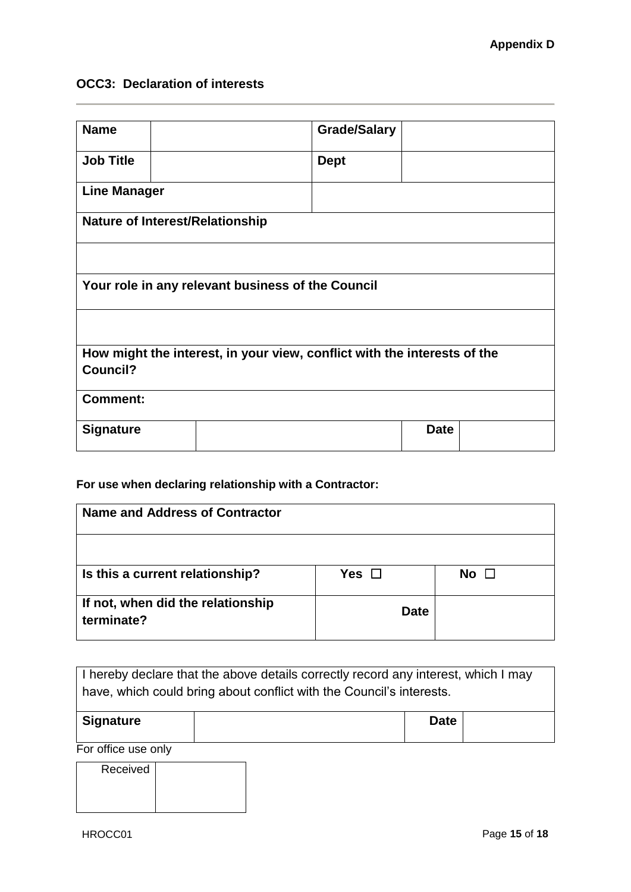## **OCC3: Declaration of interests**

| <b>Name</b>         |                                        | <b>Grade/Salary</b>                                                      |
|---------------------|----------------------------------------|--------------------------------------------------------------------------|
| <b>Job Title</b>    |                                        | <b>Dept</b>                                                              |
| <b>Line Manager</b> |                                        |                                                                          |
|                     | <b>Nature of Interest/Relationship</b> |                                                                          |
|                     |                                        |                                                                          |
|                     |                                        | Your role in any relevant business of the Council                        |
|                     |                                        |                                                                          |
|                     |                                        | How might the interest, in your view, conflict with the interests of the |
| <b>Council?</b>     |                                        |                                                                          |
| <b>Comment:</b>     |                                        |                                                                          |
| <b>Signature</b>    |                                        | <b>Date</b>                                                              |

## **For use when declaring relationship with a Contractor:**

| Name and Address of Contractor                  |               |           |
|-------------------------------------------------|---------------|-----------|
| Is this a current relationship?                 | Yes $\square$ | No $\Box$ |
| If not, when did the relationship<br>terminate? | <b>Date</b>   |           |

| I hereby declare that the above details correctly record any interest, which I may |  |
|------------------------------------------------------------------------------------|--|
| have, which could bring about conflict with the Council's interests.               |  |

| <b>Signature</b> | <b>Date</b> |  |
|------------------|-------------|--|
|                  |             |  |

For office use only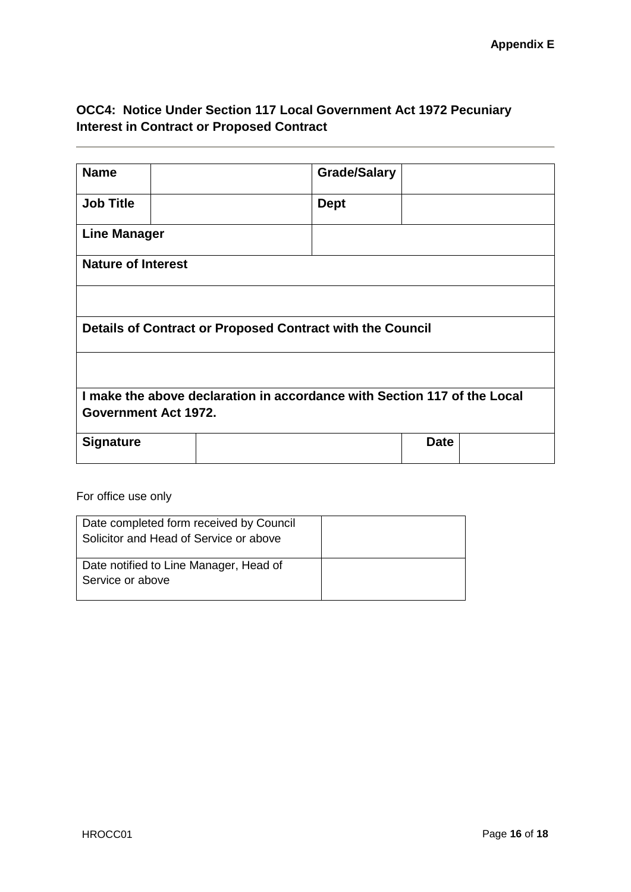## **OCC4: Notice Under Section 117 Local Government Act 1972 Pecuniary Interest in Contract or Proposed Contract**

| <b>Name</b>               |                      | <b>Grade/Salary</b>                                                      |
|---------------------------|----------------------|--------------------------------------------------------------------------|
| <b>Job Title</b>          |                      | <b>Dept</b>                                                              |
| <b>Line Manager</b>       |                      |                                                                          |
| <b>Nature of Interest</b> |                      |                                                                          |
|                           |                      |                                                                          |
|                           |                      | Details of Contract or Proposed Contract with the Council                |
|                           |                      |                                                                          |
|                           | Government Act 1972. | I make the above declaration in accordance with Section 117 of the Local |
| <b>Signature</b>          |                      | <b>Date</b>                                                              |
|                           |                      |                                                                          |

For office use only

| Date completed form received by Council<br>Solicitor and Head of Service or above |  |
|-----------------------------------------------------------------------------------|--|
| Date notified to Line Manager, Head of<br>Service or above                        |  |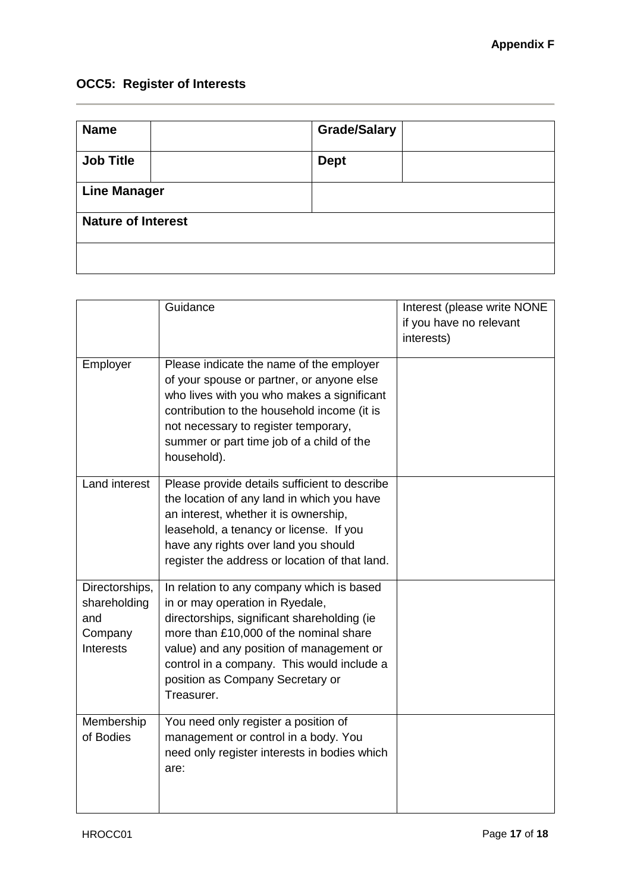# **OCC5: Register of Interests**

| <b>Name</b>               |  | <b>Grade/Salary</b> |  |  |
|---------------------------|--|---------------------|--|--|
| <b>Job Title</b>          |  | <b>Dept</b>         |  |  |
| <b>Line Manager</b>       |  |                     |  |  |
| <b>Nature of Interest</b> |  |                     |  |  |
|                           |  |                     |  |  |

|                                                                      | Guidance                                                                                                                                                                                                                                                                                                          | Interest (please write NONE<br>if you have no relevant<br>interests) |
|----------------------------------------------------------------------|-------------------------------------------------------------------------------------------------------------------------------------------------------------------------------------------------------------------------------------------------------------------------------------------------------------------|----------------------------------------------------------------------|
| Employer                                                             | Please indicate the name of the employer<br>of your spouse or partner, or anyone else<br>who lives with you who makes a significant<br>contribution to the household income (it is<br>not necessary to register temporary,<br>summer or part time job of a child of the<br>household).                            |                                                                      |
| Land interest                                                        | Please provide details sufficient to describe<br>the location of any land in which you have<br>an interest, whether it is ownership,<br>leasehold, a tenancy or license. If you<br>have any rights over land you should<br>register the address or location of that land.                                         |                                                                      |
| Directorships,<br>shareholding<br>and<br>Company<br><b>Interests</b> | In relation to any company which is based<br>in or may operation in Ryedale,<br>directorships, significant shareholding (ie<br>more than £10,000 of the nominal share<br>value) and any position of management or<br>control in a company. This would include a<br>position as Company Secretary or<br>Treasurer. |                                                                      |
| Membership<br>of Bodies                                              | You need only register a position of<br>management or control in a body. You<br>need only register interests in bodies which<br>are:                                                                                                                                                                              |                                                                      |